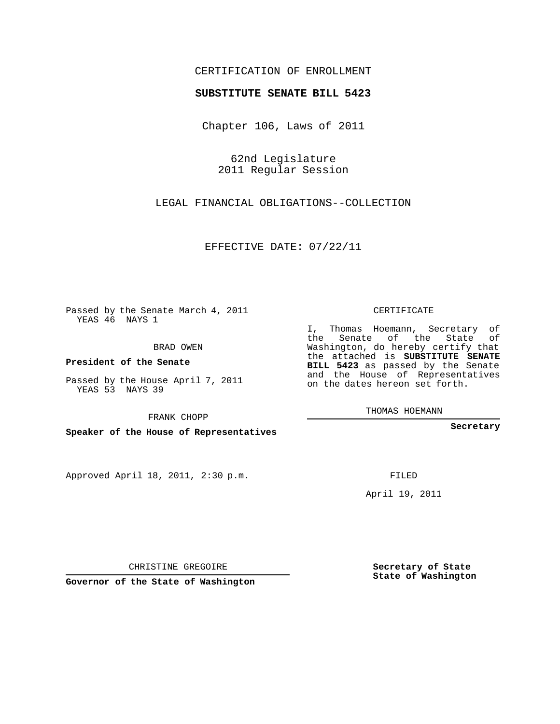## CERTIFICATION OF ENROLLMENT

## **SUBSTITUTE SENATE BILL 5423**

Chapter 106, Laws of 2011

62nd Legislature 2011 Regular Session

LEGAL FINANCIAL OBLIGATIONS--COLLECTION

EFFECTIVE DATE: 07/22/11

Passed by the Senate March 4, 2011 YEAS 46 NAYS 1

BRAD OWEN

**President of the Senate**

Passed by the House April 7, 2011 YEAS 53 NAYS 39

FRANK CHOPP

**Speaker of the House of Representatives**

Approved April 18, 2011, 2:30 p.m.

CERTIFICATE

I, Thomas Hoemann, Secretary of the Senate of the State of Washington, do hereby certify that the attached is **SUBSTITUTE SENATE BILL 5423** as passed by the Senate and the House of Representatives on the dates hereon set forth.

THOMAS HOEMANN

**Secretary**

FILED

April 19, 2011

CHRISTINE GREGOIRE

**Governor of the State of Washington**

**Secretary of State State of Washington**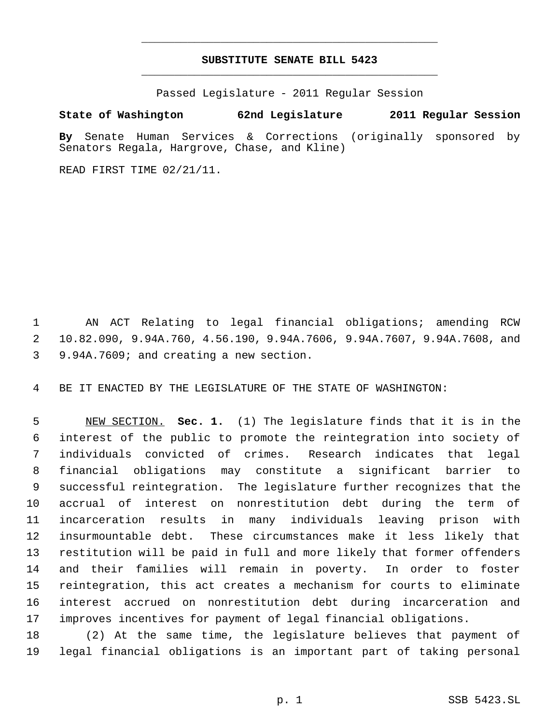## **SUBSTITUTE SENATE BILL 5423** \_\_\_\_\_\_\_\_\_\_\_\_\_\_\_\_\_\_\_\_\_\_\_\_\_\_\_\_\_\_\_\_\_\_\_\_\_\_\_\_\_\_\_\_\_

\_\_\_\_\_\_\_\_\_\_\_\_\_\_\_\_\_\_\_\_\_\_\_\_\_\_\_\_\_\_\_\_\_\_\_\_\_\_\_\_\_\_\_\_\_

Passed Legislature - 2011 Regular Session

## **State of Washington 62nd Legislature 2011 Regular Session**

**By** Senate Human Services & Corrections (originally sponsored by Senators Regala, Hargrove, Chase, and Kline)

READ FIRST TIME 02/21/11.

 AN ACT Relating to legal financial obligations; amending RCW 10.82.090, 9.94A.760, 4.56.190, 9.94A.7606, 9.94A.7607, 9.94A.7608, and 9.94A.7609; and creating a new section.

BE IT ENACTED BY THE LEGISLATURE OF THE STATE OF WASHINGTON:

 NEW SECTION. **Sec. 1.** (1) The legislature finds that it is in the interest of the public to promote the reintegration into society of individuals convicted of crimes. Research indicates that legal financial obligations may constitute a significant barrier to successful reintegration. The legislature further recognizes that the accrual of interest on nonrestitution debt during the term of incarceration results in many individuals leaving prison with insurmountable debt. These circumstances make it less likely that restitution will be paid in full and more likely that former offenders and their families will remain in poverty. In order to foster reintegration, this act creates a mechanism for courts to eliminate interest accrued on nonrestitution debt during incarceration and improves incentives for payment of legal financial obligations.

 (2) At the same time, the legislature believes that payment of legal financial obligations is an important part of taking personal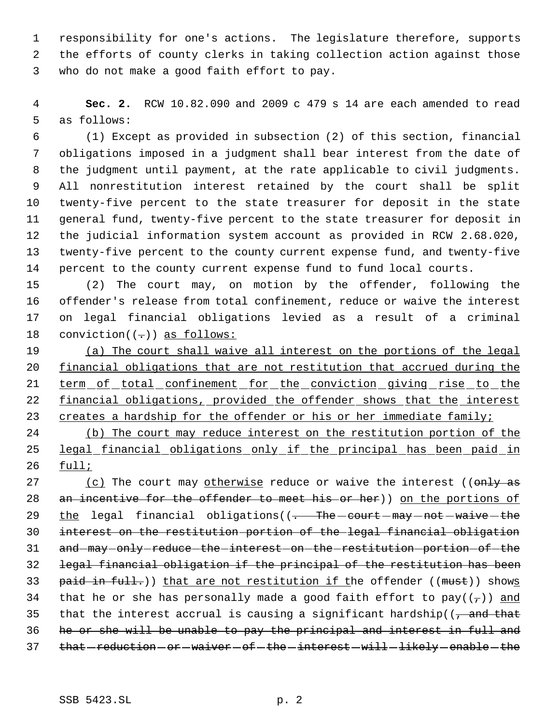responsibility for one's actions. The legislature therefore, supports the efforts of county clerks in taking collection action against those who do not make a good faith effort to pay.

 **Sec. 2.** RCW 10.82.090 and 2009 c 479 s 14 are each amended to read as follows:

 (1) Except as provided in subsection (2) of this section, financial obligations imposed in a judgment shall bear interest from the date of the judgment until payment, at the rate applicable to civil judgments. All nonrestitution interest retained by the court shall be split twenty-five percent to the state treasurer for deposit in the state general fund, twenty-five percent to the state treasurer for deposit in the judicial information system account as provided in RCW 2.68.020, twenty-five percent to the county current expense fund, and twenty-five percent to the county current expense fund to fund local courts.

 (2) The court may, on motion by the offender, following the offender's release from total confinement, reduce or waive the interest on legal financial obligations levied as a result of a criminal 18 conviction( $(-)$ ) as follows:

 (a) The court shall waive all interest on the portions of the legal financial obligations that are not restitution that accrued during the 21 term of total confinement for the conviction giving rise to the 22 financial obligations, provided the offender shows that the interest 23 creates a hardship for the offender or his or her immediate family;

 (b) The court may reduce interest on the restitution portion of the legal financial obligations only if the principal has been paid in full;

27 (c) The court may otherwise reduce or waive the interest ((only as 28 an incentive for the offender to meet his or her)) on the portions of 29 the legal financial obligations((- The court may not waive the interest on the restitution portion of the legal financial obligation 31 and may only reduce the interest on the restitution portion of the legal financial obligation if the principal of the restitution has been 33 paid in full.)) that are not restitution if the offender ((must)) shows 34 that he or she has personally made a good faith effort to pay( $(\tau)$ ) and 35 that the interest accrual is causing a significant hardship( $\sqrt{2}$ , and that he or she will be unable to pay the principal and interest in full and 37 that - reduction - or - waiver - of - the - interest - will - likely - enable - the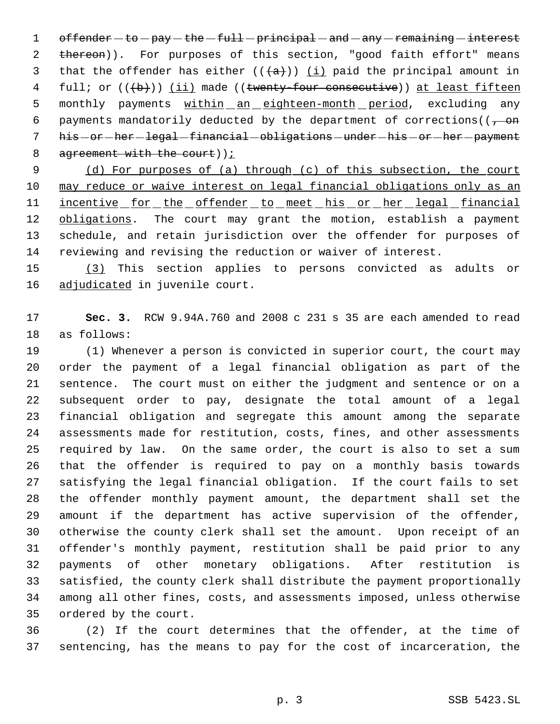1 offender  $-to$  pay  $-the$  - full - principal - and - any - remaining - interest 2 thereon)). For purposes of this section, "good faith effort" means 3 that the offender has either  $((a+))$  (i) paid the principal amount in 4 full; or  $((+b))$  (ii) made ((twenty-four consecutive)) at least fifteen 5 monthly payments within an eighteen-month period, excluding any 6 payments mandatorily deducted by the department of corrections( $(-\theta)$ 7 his - or - her - legal - financial - obligations - under - his - or - her - payment 8 agreement with the court));

9 (d) For purposes of (a) through (c) of this subsection, the court may reduce or waive interest on legal financial obligations only as an 11 <u>incentive for the offender to meet his or her legal financial</u> 12 obligations. The court may grant the motion, establish a payment schedule, and retain jurisdiction over the offender for purposes of reviewing and revising the reduction or waiver of interest.

 (3) This section applies to persons convicted as adults or 16 adjudicated in juvenile court.

 **Sec. 3.** RCW 9.94A.760 and 2008 c 231 s 35 are each amended to read as follows:

 (1) Whenever a person is convicted in superior court, the court may order the payment of a legal financial obligation as part of the sentence. The court must on either the judgment and sentence or on a subsequent order to pay, designate the total amount of a legal financial obligation and segregate this amount among the separate assessments made for restitution, costs, fines, and other assessments required by law. On the same order, the court is also to set a sum that the offender is required to pay on a monthly basis towards satisfying the legal financial obligation. If the court fails to set the offender monthly payment amount, the department shall set the amount if the department has active supervision of the offender, otherwise the county clerk shall set the amount. Upon receipt of an offender's monthly payment, restitution shall be paid prior to any payments of other monetary obligations. After restitution is satisfied, the county clerk shall distribute the payment proportionally among all other fines, costs, and assessments imposed, unless otherwise ordered by the court.

 (2) If the court determines that the offender, at the time of sentencing, has the means to pay for the cost of incarceration, the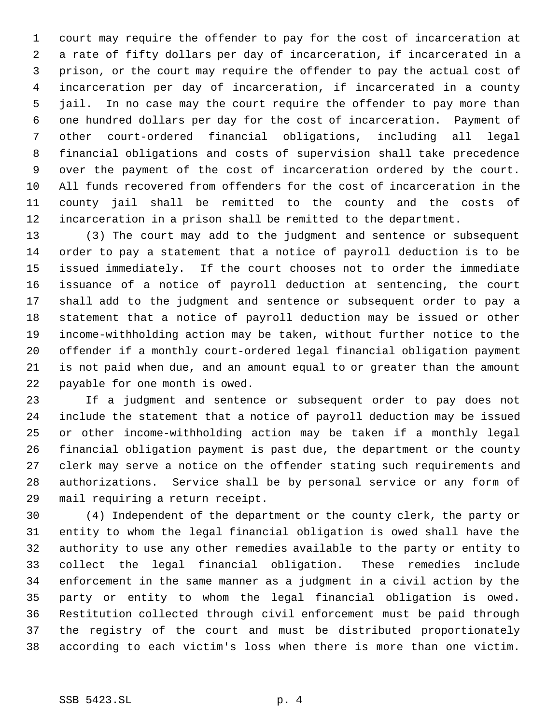court may require the offender to pay for the cost of incarceration at a rate of fifty dollars per day of incarceration, if incarcerated in a prison, or the court may require the offender to pay the actual cost of incarceration per day of incarceration, if incarcerated in a county jail. In no case may the court require the offender to pay more than one hundred dollars per day for the cost of incarceration. Payment of other court-ordered financial obligations, including all legal financial obligations and costs of supervision shall take precedence over the payment of the cost of incarceration ordered by the court. All funds recovered from offenders for the cost of incarceration in the county jail shall be remitted to the county and the costs of incarceration in a prison shall be remitted to the department.

 (3) The court may add to the judgment and sentence or subsequent order to pay a statement that a notice of payroll deduction is to be issued immediately. If the court chooses not to order the immediate issuance of a notice of payroll deduction at sentencing, the court shall add to the judgment and sentence or subsequent order to pay a statement that a notice of payroll deduction may be issued or other income-withholding action may be taken, without further notice to the offender if a monthly court-ordered legal financial obligation payment is not paid when due, and an amount equal to or greater than the amount payable for one month is owed.

 If a judgment and sentence or subsequent order to pay does not include the statement that a notice of payroll deduction may be issued or other income-withholding action may be taken if a monthly legal financial obligation payment is past due, the department or the county clerk may serve a notice on the offender stating such requirements and authorizations. Service shall be by personal service or any form of mail requiring a return receipt.

 (4) Independent of the department or the county clerk, the party or entity to whom the legal financial obligation is owed shall have the authority to use any other remedies available to the party or entity to collect the legal financial obligation. These remedies include enforcement in the same manner as a judgment in a civil action by the party or entity to whom the legal financial obligation is owed. Restitution collected through civil enforcement must be paid through the registry of the court and must be distributed proportionately according to each victim's loss when there is more than one victim.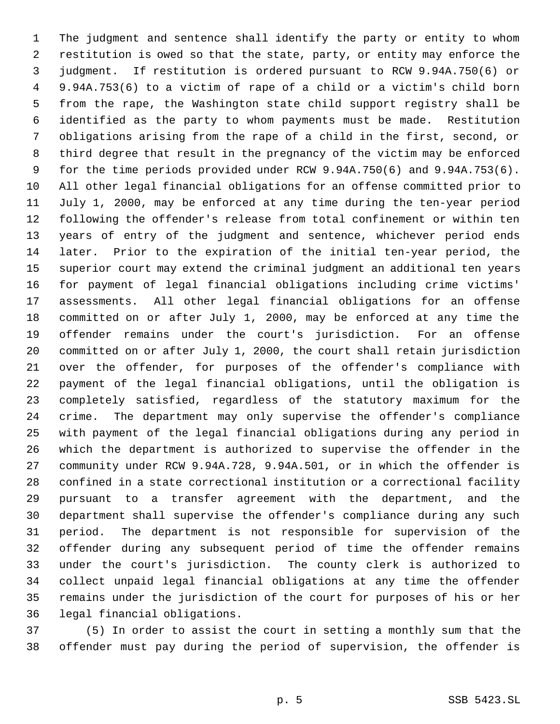The judgment and sentence shall identify the party or entity to whom restitution is owed so that the state, party, or entity may enforce the judgment. If restitution is ordered pursuant to RCW 9.94A.750(6) or 9.94A.753(6) to a victim of rape of a child or a victim's child born from the rape, the Washington state child support registry shall be identified as the party to whom payments must be made. Restitution obligations arising from the rape of a child in the first, second, or third degree that result in the pregnancy of the victim may be enforced for the time periods provided under RCW 9.94A.750(6) and 9.94A.753(6). All other legal financial obligations for an offense committed prior to July 1, 2000, may be enforced at any time during the ten-year period following the offender's release from total confinement or within ten years of entry of the judgment and sentence, whichever period ends later. Prior to the expiration of the initial ten-year period, the superior court may extend the criminal judgment an additional ten years for payment of legal financial obligations including crime victims' assessments. All other legal financial obligations for an offense committed on or after July 1, 2000, may be enforced at any time the offender remains under the court's jurisdiction. For an offense committed on or after July 1, 2000, the court shall retain jurisdiction over the offender, for purposes of the offender's compliance with payment of the legal financial obligations, until the obligation is completely satisfied, regardless of the statutory maximum for the crime. The department may only supervise the offender's compliance with payment of the legal financial obligations during any period in which the department is authorized to supervise the offender in the community under RCW 9.94A.728, 9.94A.501, or in which the offender is confined in a state correctional institution or a correctional facility pursuant to a transfer agreement with the department, and the department shall supervise the offender's compliance during any such period. The department is not responsible for supervision of the offender during any subsequent period of time the offender remains under the court's jurisdiction. The county clerk is authorized to collect unpaid legal financial obligations at any time the offender remains under the jurisdiction of the court for purposes of his or her legal financial obligations.

 (5) In order to assist the court in setting a monthly sum that the offender must pay during the period of supervision, the offender is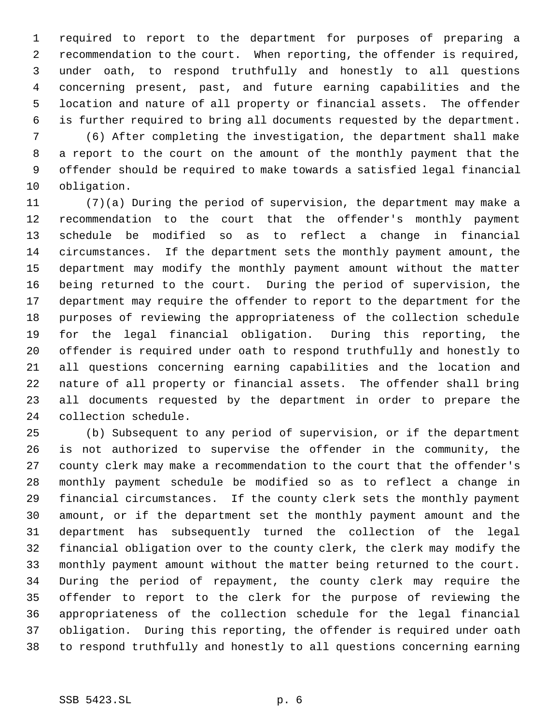required to report to the department for purposes of preparing a recommendation to the court. When reporting, the offender is required, under oath, to respond truthfully and honestly to all questions concerning present, past, and future earning capabilities and the location and nature of all property or financial assets. The offender is further required to bring all documents requested by the department.

 (6) After completing the investigation, the department shall make a report to the court on the amount of the monthly payment that the offender should be required to make towards a satisfied legal financial obligation.

 (7)(a) During the period of supervision, the department may make a recommendation to the court that the offender's monthly payment schedule be modified so as to reflect a change in financial circumstances. If the department sets the monthly payment amount, the department may modify the monthly payment amount without the matter being returned to the court. During the period of supervision, the department may require the offender to report to the department for the purposes of reviewing the appropriateness of the collection schedule for the legal financial obligation. During this reporting, the offender is required under oath to respond truthfully and honestly to all questions concerning earning capabilities and the location and nature of all property or financial assets. The offender shall bring all documents requested by the department in order to prepare the collection schedule.

 (b) Subsequent to any period of supervision, or if the department is not authorized to supervise the offender in the community, the county clerk may make a recommendation to the court that the offender's monthly payment schedule be modified so as to reflect a change in financial circumstances. If the county clerk sets the monthly payment amount, or if the department set the monthly payment amount and the department has subsequently turned the collection of the legal financial obligation over to the county clerk, the clerk may modify the monthly payment amount without the matter being returned to the court. During the period of repayment, the county clerk may require the offender to report to the clerk for the purpose of reviewing the appropriateness of the collection schedule for the legal financial obligation. During this reporting, the offender is required under oath to respond truthfully and honestly to all questions concerning earning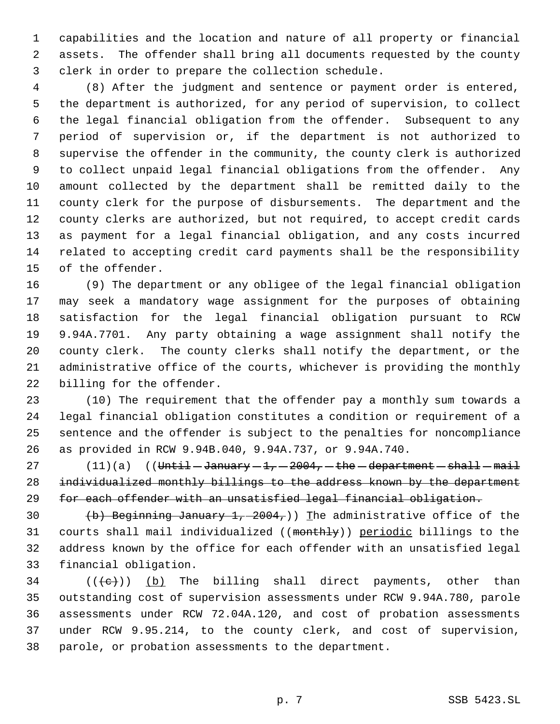capabilities and the location and nature of all property or financial assets. The offender shall bring all documents requested by the county clerk in order to prepare the collection schedule.

 (8) After the judgment and sentence or payment order is entered, the department is authorized, for any period of supervision, to collect the legal financial obligation from the offender. Subsequent to any period of supervision or, if the department is not authorized to supervise the offender in the community, the county clerk is authorized to collect unpaid legal financial obligations from the offender. Any amount collected by the department shall be remitted daily to the county clerk for the purpose of disbursements. The department and the county clerks are authorized, but not required, to accept credit cards as payment for a legal financial obligation, and any costs incurred related to accepting credit card payments shall be the responsibility of the offender.

 (9) The department or any obligee of the legal financial obligation may seek a mandatory wage assignment for the purposes of obtaining satisfaction for the legal financial obligation pursuant to RCW 9.94A.7701. Any party obtaining a wage assignment shall notify the county clerk. The county clerks shall notify the department, or the administrative office of the courts, whichever is providing the monthly billing for the offender.

 (10) The requirement that the offender pay a monthly sum towards a legal financial obligation constitutes a condition or requirement of a sentence and the offender is subject to the penalties for noncompliance as provided in RCW 9.94B.040, 9.94A.737, or 9.94A.740.

 $(11)(a)$   $($  Until  $-\text{January} - 1, -2004, -$  the  $-\text{department} - \text{shall} - \text{mail}$  individualized monthly billings to the address known by the department for each offender with an unsatisfied legal financial obligation.

 $(b)$  Beginning January 1, 2004,)) The administrative office of the courts shall mail individualized ((monthly)) periodic billings to the address known by the office for each offender with an unsatisfied legal financial obligation.

34 ( $(\langle e \rangle)$ ) (b) The billing shall direct payments, other than outstanding cost of supervision assessments under RCW 9.94A.780, parole assessments under RCW 72.04A.120, and cost of probation assessments under RCW 9.95.214, to the county clerk, and cost of supervision, parole, or probation assessments to the department.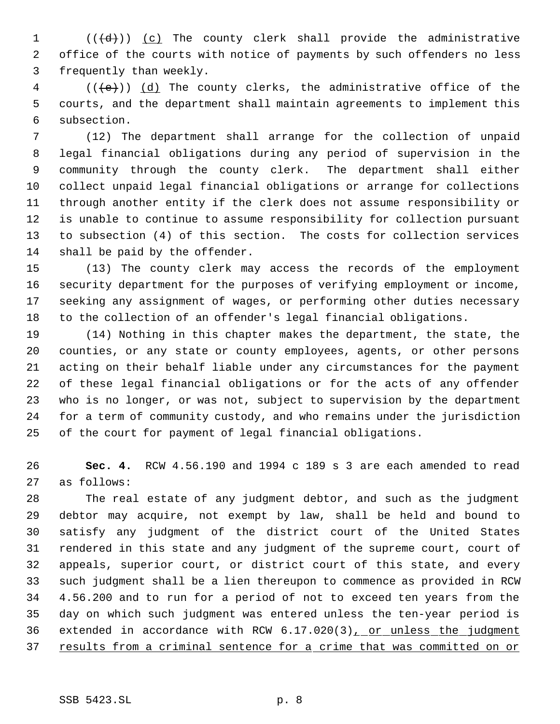1  $((\{d\})\)$   $(c)$  The county clerk shall provide the administrative office of the courts with notice of payments by such offenders no less frequently than weekly.

 (( $\left(\frac{1}{e}\right)$ ) (d) The county clerks, the administrative office of the courts, and the department shall maintain agreements to implement this subsection.

 (12) The department shall arrange for the collection of unpaid legal financial obligations during any period of supervision in the community through the county clerk. The department shall either collect unpaid legal financial obligations or arrange for collections through another entity if the clerk does not assume responsibility or is unable to continue to assume responsibility for collection pursuant to subsection (4) of this section. The costs for collection services shall be paid by the offender.

 (13) The county clerk may access the records of the employment security department for the purposes of verifying employment or income, seeking any assignment of wages, or performing other duties necessary to the collection of an offender's legal financial obligations.

 (14) Nothing in this chapter makes the department, the state, the counties, or any state or county employees, agents, or other persons acting on their behalf liable under any circumstances for the payment of these legal financial obligations or for the acts of any offender who is no longer, or was not, subject to supervision by the department for a term of community custody, and who remains under the jurisdiction of the court for payment of legal financial obligations.

 **Sec. 4.** RCW 4.56.190 and 1994 c 189 s 3 are each amended to read as follows:

 The real estate of any judgment debtor, and such as the judgment debtor may acquire, not exempt by law, shall be held and bound to satisfy any judgment of the district court of the United States rendered in this state and any judgment of the supreme court, court of appeals, superior court, or district court of this state, and every such judgment shall be a lien thereupon to commence as provided in RCW 4.56.200 and to run for a period of not to exceed ten years from the day on which such judgment was entered unless the ten-year period is 36 extended in accordance with RCW 6.17.020(3), or unless the judgment 37 results from a criminal sentence for a crime that was committed on or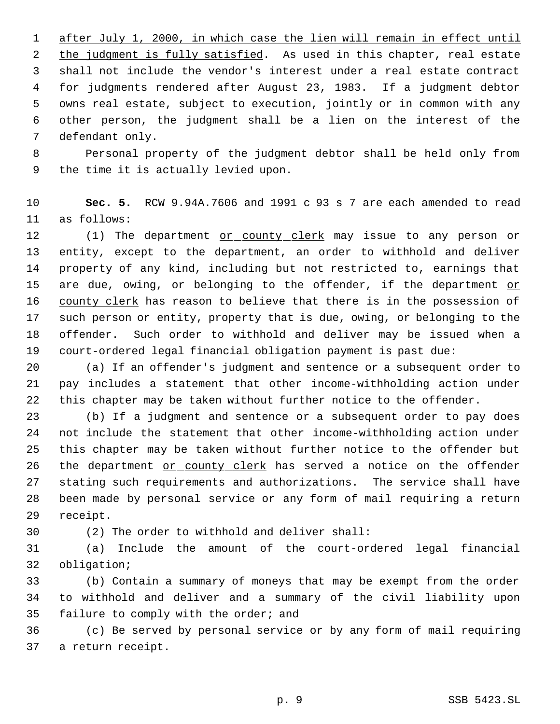after July 1, 2000, in which case the lien will remain in effect until 2 the judgment is fully satisfied. As used in this chapter, real estate shall not include the vendor's interest under a real estate contract for judgments rendered after August 23, 1983. If a judgment debtor owns real estate, subject to execution, jointly or in common with any other person, the judgment shall be a lien on the interest of the defendant only.

 Personal property of the judgment debtor shall be held only from the time it is actually levied upon.

 **Sec. 5.** RCW 9.94A.7606 and 1991 c 93 s 7 are each amended to read as follows:

12 (1) The department or county clerk may issue to any person or entity, except to the department, an order to withhold and deliver property of any kind, including but not restricted to, earnings that 15 are due, owing, or belonging to the offender, if the department or 16 county clerk has reason to believe that there is in the possession of such person or entity, property that is due, owing, or belonging to the offender. Such order to withhold and deliver may be issued when a court-ordered legal financial obligation payment is past due:

 (a) If an offender's judgment and sentence or a subsequent order to pay includes a statement that other income-withholding action under this chapter may be taken without further notice to the offender.

 (b) If a judgment and sentence or a subsequent order to pay does not include the statement that other income-withholding action under this chapter may be taken without further notice to the offender but 26 the department or county clerk has served a notice on the offender stating such requirements and authorizations. The service shall have been made by personal service or any form of mail requiring a return receipt.

(2) The order to withhold and deliver shall:

 (a) Include the amount of the court-ordered legal financial obligation;

 (b) Contain a summary of moneys that may be exempt from the order to withhold and deliver and a summary of the civil liability upon failure to comply with the order; and

 (c) Be served by personal service or by any form of mail requiring a return receipt.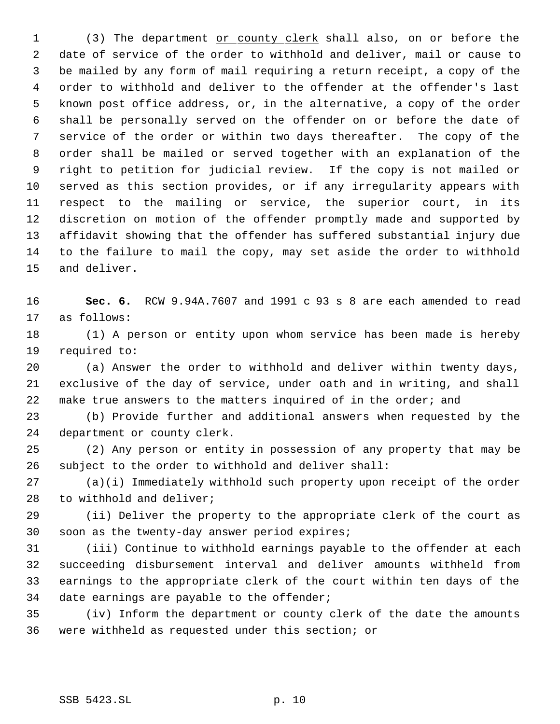1 (3) The department <u>or county clerk</u> shall also, on or before the date of service of the order to withhold and deliver, mail or cause to be mailed by any form of mail requiring a return receipt, a copy of the order to withhold and deliver to the offender at the offender's last known post office address, or, in the alternative, a copy of the order shall be personally served on the offender on or before the date of service of the order or within two days thereafter. The copy of the order shall be mailed or served together with an explanation of the right to petition for judicial review. If the copy is not mailed or served as this section provides, or if any irregularity appears with respect to the mailing or service, the superior court, in its discretion on motion of the offender promptly made and supported by affidavit showing that the offender has suffered substantial injury due to the failure to mail the copy, may set aside the order to withhold and deliver.

 **Sec. 6.** RCW 9.94A.7607 and 1991 c 93 s 8 are each amended to read as follows:

 (1) A person or entity upon whom service has been made is hereby required to:

 (a) Answer the order to withhold and deliver within twenty days, exclusive of the day of service, under oath and in writing, and shall make true answers to the matters inquired of in the order; and

 (b) Provide further and additional answers when requested by the department or county clerk.

 (2) Any person or entity in possession of any property that may be subject to the order to withhold and deliver shall:

 (a)(i) Immediately withhold such property upon receipt of the order to withhold and deliver;

 (ii) Deliver the property to the appropriate clerk of the court as soon as the twenty-day answer period expires;

 (iii) Continue to withhold earnings payable to the offender at each succeeding disbursement interval and deliver amounts withheld from earnings to the appropriate clerk of the court within ten days of the date earnings are payable to the offender;

 (iv) Inform the department or county clerk of the date the amounts were withheld as requested under this section; or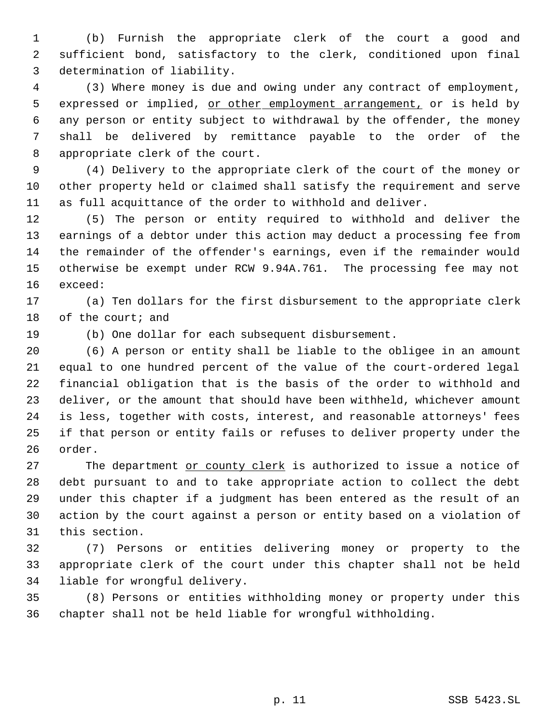(b) Furnish the appropriate clerk of the court a good and sufficient bond, satisfactory to the clerk, conditioned upon final determination of liability.

 (3) Where money is due and owing under any contract of employment, 5 expressed or implied, <u>or other employment arrangement</u>, or is held by any person or entity subject to withdrawal by the offender, the money shall be delivered by remittance payable to the order of the appropriate clerk of the court.

 (4) Delivery to the appropriate clerk of the court of the money or other property held or claimed shall satisfy the requirement and serve as full acquittance of the order to withhold and deliver.

 (5) The person or entity required to withhold and deliver the earnings of a debtor under this action may deduct a processing fee from the remainder of the offender's earnings, even if the remainder would otherwise be exempt under RCW 9.94A.761. The processing fee may not exceed:

 (a) Ten dollars for the first disbursement to the appropriate clerk 18 of the court; and

(b) One dollar for each subsequent disbursement.

 (6) A person or entity shall be liable to the obligee in an amount equal to one hundred percent of the value of the court-ordered legal financial obligation that is the basis of the order to withhold and deliver, or the amount that should have been withheld, whichever amount is less, together with costs, interest, and reasonable attorneys' fees if that person or entity fails or refuses to deliver property under the order.

27 The department or county clerk is authorized to issue a notice of debt pursuant to and to take appropriate action to collect the debt under this chapter if a judgment has been entered as the result of an action by the court against a person or entity based on a violation of this section.

 (7) Persons or entities delivering money or property to the appropriate clerk of the court under this chapter shall not be held liable for wrongful delivery.

 (8) Persons or entities withholding money or property under this chapter shall not be held liable for wrongful withholding.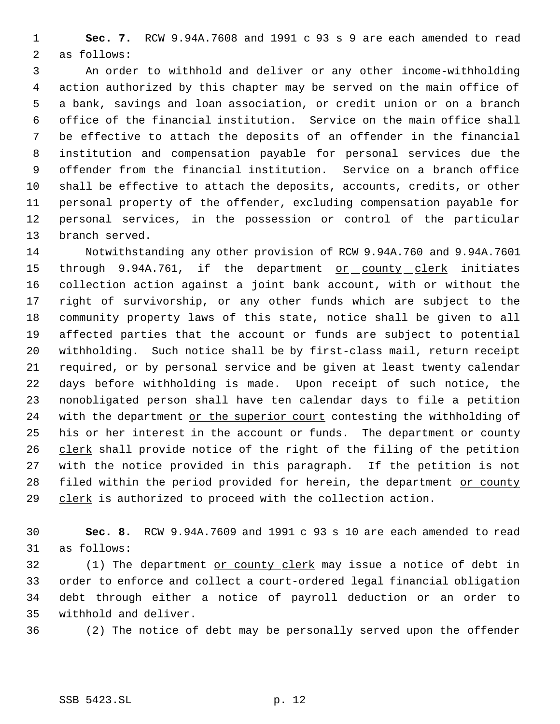**Sec. 7.** RCW 9.94A.7608 and 1991 c 93 s 9 are each amended to read as follows:

 An order to withhold and deliver or any other income-withholding action authorized by this chapter may be served on the main office of a bank, savings and loan association, or credit union or on a branch office of the financial institution. Service on the main office shall be effective to attach the deposits of an offender in the financial institution and compensation payable for personal services due the offender from the financial institution. Service on a branch office shall be effective to attach the deposits, accounts, credits, or other personal property of the offender, excluding compensation payable for personal services, in the possession or control of the particular branch served.

 Notwithstanding any other provision of RCW 9.94A.760 and 9.94A.7601 15 through 9.94A.761, if the department or county clerk initiates collection action against a joint bank account, with or without the right of survivorship, or any other funds which are subject to the community property laws of this state, notice shall be given to all affected parties that the account or funds are subject to potential withholding. Such notice shall be by first-class mail, return receipt required, or by personal service and be given at least twenty calendar days before withholding is made. Upon receipt of such notice, the nonobligated person shall have ten calendar days to file a petition 24 with the department or the superior court contesting the withholding of 25 his or her interest in the account or funds. The department or county 26 clerk shall provide notice of the right of the filing of the petition with the notice provided in this paragraph. If the petition is not 28 filed within the period provided for herein, the department or county 29 clerk is authorized to proceed with the collection action.

 **Sec. 8.** RCW 9.94A.7609 and 1991 c 93 s 10 are each amended to read as follows:

32 (1) The department or county clerk may issue a notice of debt in order to enforce and collect a court-ordered legal financial obligation debt through either a notice of payroll deduction or an order to withhold and deliver.

(2) The notice of debt may be personally served upon the offender